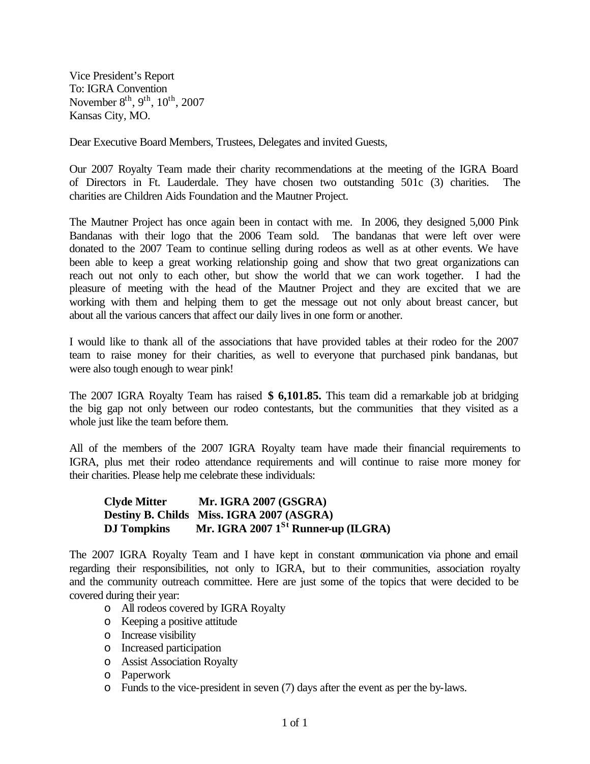Vice President's Report To: IGRA Convention November  $8^{th}$ ,  $9^{th}$ ,  $10^{th}$ ,  $2007$ Kansas City, MO.

Dear Executive Board Members, Trustees, Delegates and invited Guests,

Our 2007 Royalty Team made their charity recommendations at the meeting of the IGRA Board of Directors in Ft. Lauderdale. They have chosen two outstanding 501c (3) charities. The charities are Children Aids Foundation and the Mautner Project.

The Mautner Project has once again been in contact with me. In 2006, they designed 5,000 Pink Bandanas with their logo that the 2006 Team sold. The bandanas that were left over were donated to the 2007 Team to continue selling during rodeos as well as at other events. We have been able to keep a great working relationship going and show that two great organizations can reach out not only to each other, but show the world that we can work together. I had the pleasure of meeting with the head of the Mautner Project and they are excited that we are working with them and helping them to get the message out not only about breast cancer, but about all the various cancers that affect our daily lives in one form or another.

I would like to thank all of the associations that have provided tables at their rodeo for the 2007 team to raise money for their charities, as well to everyone that purchased pink bandanas, but were also tough enough to wear pink!

The 2007 IGRA Royalty Team has raised **\$ 6,101.85.** This team did a remarkable job at bridging the big gap not only between our rodeo contestants, but the communities that they visited as a whole just like the team before them.

All of the members of the 2007 IGRA Royalty team have made their financial requirements to IGRA, plus met their rodeo attendance requirements and will continue to raise more money for their charities. Please help me celebrate these individuals:

**Clyde Mitter Mr. IGRA 2007 (GSGRA) Destiny B. Childs Miss. IGRA 2007 (ASGRA) DJ Tompkins Mr. IGRA 2007 1St Runner-up (ILGRA)**

The 2007 IGRA Royalty Team and I have kept in constant communication via phone and email regarding their responsibilities, not only to IGRA, but to their communities, association royalty and the community outreach committee. Here are just some of the topics that were decided to be covered during their year:

- o All rodeos covered by IGRA Royalty
- o Keeping a positive attitude
- o Increase visibility
- o Increased participation
- o Assist Association Royalty
- o Paperwork
- o Funds to the vice-president in seven (7) days after the event as per the by-laws.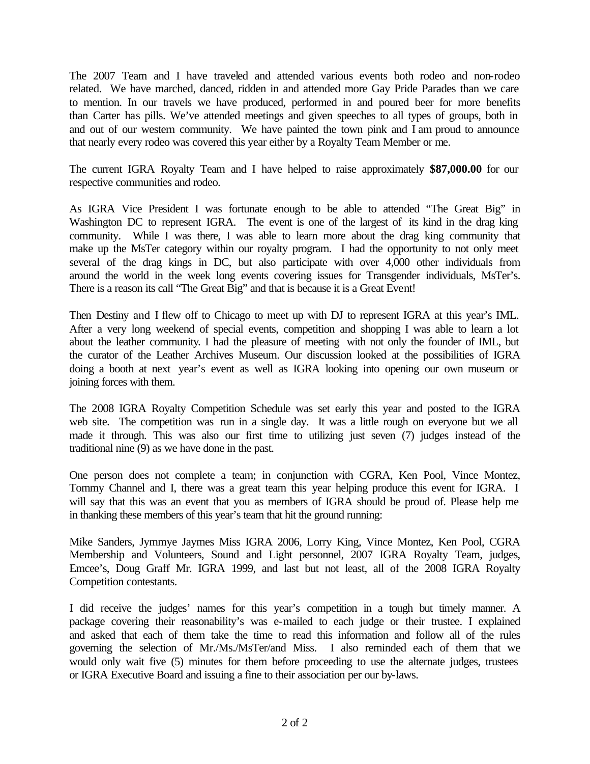The 2007 Team and I have traveled and attended various events both rodeo and non-rodeo related. We have marched, danced, ridden in and attended more Gay Pride Parades than we care to mention. In our travels we have produced, performed in and poured beer for more benefits than Carter has pills. We've attended meetings and given speeches to all types of groups, both in and out of our western community. We have painted the town pink and I am proud to announce that nearly every rodeo was covered this year either by a Royalty Team Member or me.

The current IGRA Royalty Team and I have helped to raise approximately **\$87,000.00** for our respective communities and rodeo.

As IGRA Vice President I was fortunate enough to be able to attended "The Great Big" in Washington DC to represent IGRA. The event is one of the largest of its kind in the drag king community. While I was there, I was able to learn more about the drag king community that make up the MsTer category within our royalty program. I had the opportunity to not only meet several of the drag kings in DC, but also participate with over 4,000 other individuals from around the world in the week long events covering issues for Transgender individuals, MsTer's. There is a reason its call "The Great Big" and that is because it is a Great Event!

Then Destiny and I flew off to Chicago to meet up with DJ to represent IGRA at this year's IML. After a very long weekend of special events, competition and shopping I was able to learn a lot about the leather community. I had the pleasure of meeting with not only the founder of IML, but the curator of the Leather Archives Museum. Our discussion looked at the possibilities of IGRA doing a booth at next year's event as well as IGRA looking into opening our own museum or joining forces with them.

The 2008 IGRA Royalty Competition Schedule was set early this year and posted to the IGRA web site. The competition was run in a single day. It was a little rough on everyone but we all made it through. This was also our first time to utilizing just seven (7) judges instead of the traditional nine (9) as we have done in the past.

One person does not complete a team; in conjunction with CGRA, Ken Pool, Vince Montez, Tommy Channel and I, there was a great team this year helping produce this event for IGRA. I will say that this was an event that you as members of IGRA should be proud of. Please help me in thanking these members of this year's team that hit the ground running:

Mike Sanders, Jymmye Jaymes Miss IGRA 2006, Lorry King, Vince Montez, Ken Pool, CGRA Membership and Volunteers, Sound and Light personnel, 2007 IGRA Royalty Team, judges, Emcee's, Doug Graff Mr. IGRA 1999, and last but not least, all of the 2008 IGRA Royalty Competition contestants.

I did receive the judges' names for this year's competition in a tough but timely manner. A package covering their reasonability's was e-mailed to each judge or their trustee. I explained and asked that each of them take the time to read this information and follow all of the rules governing the selection of Mr./Ms./MsTer/and Miss. I also reminded each of them that we would only wait five (5) minutes for them before proceeding to use the alternate judges, trustees or IGRA Executive Board and issuing a fine to their association per our by-laws.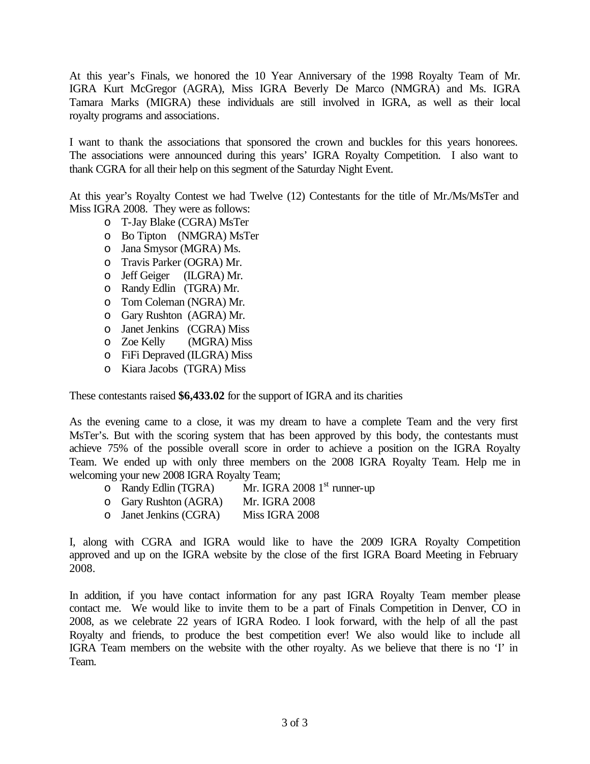At this year's Finals, we honored the 10 Year Anniversary of the 1998 Royalty Team of Mr. IGRA Kurt McGregor (AGRA), Miss IGRA Beverly De Marco (NMGRA) and Ms. IGRA Tamara Marks (MIGRA) these individuals are still involved in IGRA, as well as their local royalty programs and associations.

I want to thank the associations that sponsored the crown and buckles for this years honorees. The associations were announced during this years' IGRA Royalty Competition. I also want to thank CGRA for all their help on this segment of the Saturday Night Event.

At this year's Royalty Contest we had Twelve (12) Contestants for the title of Mr./Ms/MsTer and Miss IGRA 2008. They were as follows:

- o T-Jay Blake (CGRA) MsTer
- o Bo Tipton (NMGRA) MsTer
- o Jana Smysor (MGRA) Ms.
- o Travis Parker (OGRA) Mr.
- o Jeff Geiger (ILGRA) Mr.
- o Randy Edlin (TGRA) Mr.
- o Tom Coleman (NGRA) Mr.
- o Gary Rushton (AGRA) Mr.
- o Janet Jenkins (CGRA) Miss
- o Zoe Kelly (MGRA) Miss
- o FiFi Depraved (ILGRA) Miss
- o Kiara Jacobs (TGRA) Miss

These contestants raised **\$6,433.02** for the support of IGRA and its charities

As the evening came to a close, it was my dream to have a complete Team and the very first MsTer's. But with the scoring system that has been approved by this body, the contestants must achieve 75% of the possible overall score in order to achieve a position on the IGRA Royalty Team. We ended up with only three members on the 2008 IGRA Royalty Team. Help me in welcoming your new 2008 IGRA Royalty Team;

- o Randy Edlin (TGRA) Mr. IGRA 2008 1<sup>st</sup> runner-up
- o Gary Rushton (AGRA) Mr. IGRA 2008
- o Janet Jenkins (CGRA) Miss IGRA 2008

I, along with CGRA and IGRA would like to have the 2009 IGRA Royalty Competition approved and up on the IGRA website by the close of the first IGRA Board Meeting in February 2008.

In addition, if you have contact information for any past IGRA Royalty Team member please contact me. We would like to invite them to be a part of Finals Competition in Denver, CO in 2008, as we celebrate 22 years of IGRA Rodeo. I look forward, with the help of all the past Royalty and friends, to produce the best competition ever! We also would like to include all IGRA Team members on the website with the other royalty. As we believe that there is no 'I' in Team.